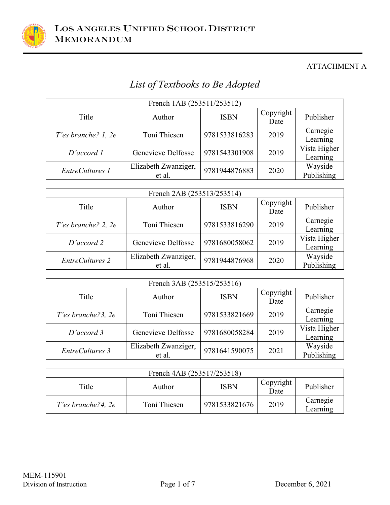

# *List of Textbooks to Be Adopted*

| French 1AB (253511/253512) |                                |               |                   |                          |  |
|----------------------------|--------------------------------|---------------|-------------------|--------------------------|--|
| Title                      | Author                         | <b>ISBN</b>   | Copyright<br>Date | Publisher                |  |
| T'es branche? $1, 2e$      | Toni Thiesen                   | 9781533816283 | 2019              | Carnegie<br>Learning     |  |
| D'accord 1                 | Genevieve Delfosse             | 9781543301908 | 2019              | Vista Higher<br>Learning |  |
| EntreCultures 1            | Elizabeth Zwanziger,<br>et al. | 9781944876883 | 2020              | Wayside<br>Publishing    |  |

| French 2AB (253513/253514) |                                |               |                   |                          |
|----------------------------|--------------------------------|---------------|-------------------|--------------------------|
| Title                      | Author                         | <b>ISBN</b>   | Copyright<br>Date | Publisher                |
| T'es branche? 2, 2e        | Toni Thiesen                   | 9781533816290 | 2019              | Carnegie<br>Learning     |
| D'accord 2                 | Genevieve Delfosse             | 9781680058062 | 2019              | Vista Higher<br>Learning |
| <b>EntreCultures 2</b>     | Elizabeth Zwanziger,<br>et al. | 9781944876968 | 2020              | Wayside<br>Publishing    |

| French 3AB (253515/253516) |                                |               |                   |                          |
|----------------------------|--------------------------------|---------------|-------------------|--------------------------|
| Title                      | Author                         | <b>ISBN</b>   | Copyright<br>Date | Publisher                |
| T'es branche?3, 2e         | Toni Thiesen                   | 9781533821669 | 2019              | Carnegie<br>Learning     |
| D'accord 3                 | Genevieve Delfosse             | 9781680058284 | 2019              | Vista Higher<br>Learning |
| EntreCultures 3            | Elizabeth Zwanziger,<br>et al. | 9781641590075 | 2021              | Wayside<br>Publishing    |

| French 4AB (253517/253518) |              |               |                   |                      |
|----------------------------|--------------|---------------|-------------------|----------------------|
| Title                      | Author       | <b>ISBN</b>   | Copyright<br>Date | Publisher            |
| $T$ 'es branche?4, 2e      | Toni Thiesen | 9781533821676 | 2019              | Carnegie<br>Learning |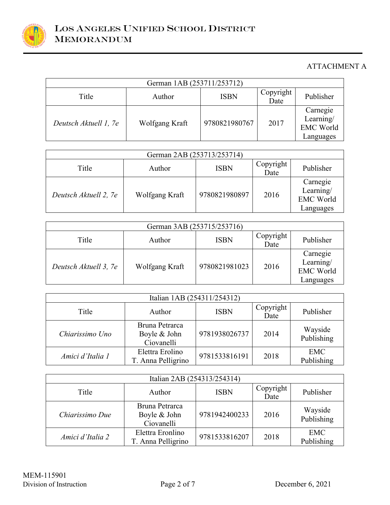

| German 1AB (253711/253712) |                |               |                   |                                                        |
|----------------------------|----------------|---------------|-------------------|--------------------------------------------------------|
| Title                      | Author         | <b>ISBN</b>   | Copyright<br>Date | Publisher                                              |
| Deutsch Aktuell 1, 7e      | Wolfgang Kraft | 9780821980767 | 2017              | Carnegie<br>Learning/<br><b>EMC World</b><br>Languages |

| German 2AB (253713/253714) |                |               |                   |                                                        |
|----------------------------|----------------|---------------|-------------------|--------------------------------------------------------|
| Title                      | Author         | <b>ISBN</b>   | Copyright<br>Date | Publisher                                              |
| Deutsch Aktuell 2, 7e      | Wolfgang Kraft | 9780821980897 | 2016              | Carnegie<br>Learning/<br><b>EMC World</b><br>Languages |

| German 3AB (253715/253716) |                |               |                   |                                                        |
|----------------------------|----------------|---------------|-------------------|--------------------------------------------------------|
| Title                      | Author         | <b>ISBN</b>   | Copyright<br>Date | Publisher                                              |
| Deutsch Aktuell 3, 7e      | Wolfgang Kraft | 9780821981023 | 2016              | Carnegie<br>Learning/<br><b>EMC World</b><br>Languages |

| Italian 1AB (254311/254312) |                                              |               |                   |                          |
|-----------------------------|----------------------------------------------|---------------|-------------------|--------------------------|
| Title                       | Author                                       | <b>ISBN</b>   | Copyright<br>Date | Publisher                |
| Chiarissimo Uno             | Bruna Petrarca<br>Boyle & John<br>Ciovanelli | 9781938026737 | 2014              | Wayside<br>Publishing    |
| Amici d'Italia 1            | Elettra Erolino<br>T. Anna Pelligrino        | 9781533816191 | 2018              | <b>EMC</b><br>Publishing |

| Italian 2AB (254313/254314) |                                              |               |                   |                          |
|-----------------------------|----------------------------------------------|---------------|-------------------|--------------------------|
| Title                       | Author                                       | <b>ISBN</b>   | Copyright<br>Date | Publisher                |
| Chiarissimo Due             | Bruna Petrarca<br>Boyle & John<br>Ciovanelli | 9781942400233 | 2016              | Wayside<br>Publishing    |
| Amici d'Italia 2            | Elettra Eronlino<br>T. Anna Pelligrino       | 9781533816207 | 2018              | <b>EMC</b><br>Publishing |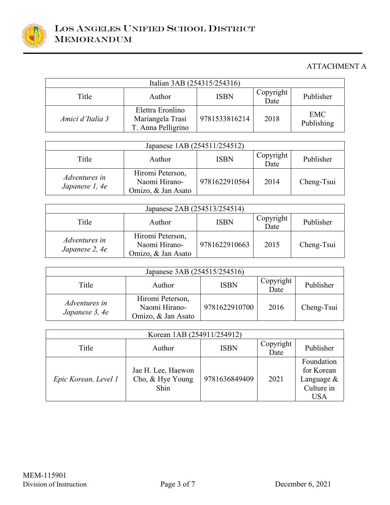

| Italian 3AB (254315/254316) |                                                            |               |                   |                          |
|-----------------------------|------------------------------------------------------------|---------------|-------------------|--------------------------|
| Title                       | Author                                                     | <b>ISBN</b>   | Copyright<br>Date | Publisher                |
| Amici d'Italia 3            | Elettra Eronlino<br>Mariangela Trasi<br>T. Anna Pelligrino | 9781533816214 | 2018              | <b>EMC</b><br>Publishing |

| Japanese 1AB (254511/254512)           |                                                         |               |                   |            |  |
|----------------------------------------|---------------------------------------------------------|---------------|-------------------|------------|--|
| Title                                  | Author                                                  | <b>ISBN</b>   | Copyright<br>Date | Publisher  |  |
| <i>Adventures in</i><br>Japanese 1, 4e | Hiromi Peterson,<br>Naomi Hirano-<br>Omizo, & Jan Asato | 9781622910564 | 2014              | Cheng-Tsui |  |

| Japanese 2AB (254513/254514)    |                                                         |               |                   |            |  |
|---------------------------------|---------------------------------------------------------|---------------|-------------------|------------|--|
| Title                           | Author                                                  | <b>ISBN</b>   | Copyright<br>Date | Publisher  |  |
| Adventures in<br>Japanese 2, 4e | Hiromi Peterson,<br>Naomi Hirano-<br>Omizo, & Jan Asato | 9781622910663 | 2015              | Cheng-Tsui |  |

| Japanese 3AB (254515/254516)    |                                                         |               |                   |            |
|---------------------------------|---------------------------------------------------------|---------------|-------------------|------------|
| Title                           | Author                                                  | <b>ISBN</b>   | Copyright<br>Date | Publisher  |
| Adventures in<br>Japanese 3, 4e | Hiromi Peterson,<br>Naomi Hirano-<br>Omizo, & Jan Asato | 9781622910700 | 2016              | Cheng-Tsui |

| Korean 1AB (254911/254912) |                                                |               |                   |                                                                    |
|----------------------------|------------------------------------------------|---------------|-------------------|--------------------------------------------------------------------|
| Title                      | Author                                         | <b>ISBN</b>   | Copyright<br>Date | Publisher                                                          |
| Epic Korean, Level 1       | Jae H. Lee, Haewon<br>Cho, & Hye Young<br>Shin | 9781636849409 | 2021              | Foundation<br>for Korean<br>Language &<br>Culture in<br><b>USA</b> |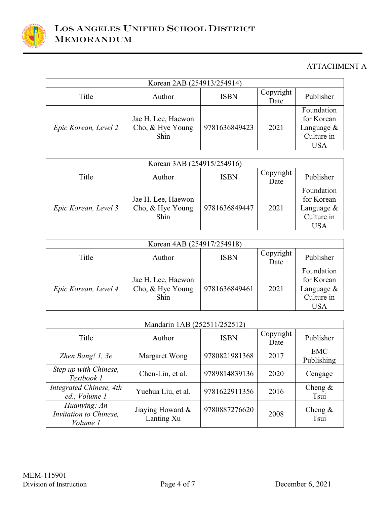

| Korean 2AB (254913/254914) |                                                |               |                   |                                                                |
|----------------------------|------------------------------------------------|---------------|-------------------|----------------------------------------------------------------|
| Title                      | Author                                         | <b>ISBN</b>   | Copyright<br>Date | Publisher                                                      |
| Epic Korean, Level 2       | Jae H. Lee, Haewon<br>Cho, & Hye Young<br>Shin | 9781636849423 | 2021              | Foundation<br>for Korean<br>Language $\&$<br>Culture in<br>USA |

| Korean 3AB (254915/254916) |                                                |               |                   |                                                                      |
|----------------------------|------------------------------------------------|---------------|-------------------|----------------------------------------------------------------------|
| Title                      | Author                                         | <b>ISBN</b>   | Copyright<br>Date | Publisher                                                            |
| Epic Korean, Level 3       | Jae H. Lee, Haewon<br>Cho, & Hye Young<br>Shin | 9781636849447 | 2021              | Foundation<br>for Korean<br>Language $&$<br>Culture in<br><b>USA</b> |

| Korean 4AB (254917/254918) |                                                       |               |                   |                                                                    |
|----------------------------|-------------------------------------------------------|---------------|-------------------|--------------------------------------------------------------------|
| Title                      | Author                                                | <b>ISBN</b>   | Copyright<br>Date | Publisher                                                          |
| Epic Korean, Level 4       | Jae H. Lee, Haewon<br>Cho, & Hye Young<br><b>Shin</b> | 9781636849461 | 2021              | Foundation<br>for Korean<br>Language &<br>Culture in<br><b>USA</b> |

| Mandarin 1AB (252511/252512)                       |                                |               |                   |                          |
|----------------------------------------------------|--------------------------------|---------------|-------------------|--------------------------|
| Title                                              | Author                         | <b>ISBN</b>   | Copyright<br>Date | Publisher                |
| Zhen Bang! 1, 3e                                   | Margaret Wong                  | 9780821981368 | 2017              | <b>EMC</b><br>Publishing |
| Step up with Chinese,<br>Textbook 1                | Chen-Lin, et al.               | 9789814839136 | 2020              | Cengage                  |
| Integrated Chinese, 4th<br>ed., Volume 1           | Yuehua Liu, et al.             | 9781622911356 | 2016              | Cheng $\&$<br>Tsui       |
| Huanying: An<br>Invitation to Chinese,<br>Volume 1 | Jiaying Howard &<br>Lanting Xu | 9780887276620 | 2008              | Cheng $\&$<br>Tsui       |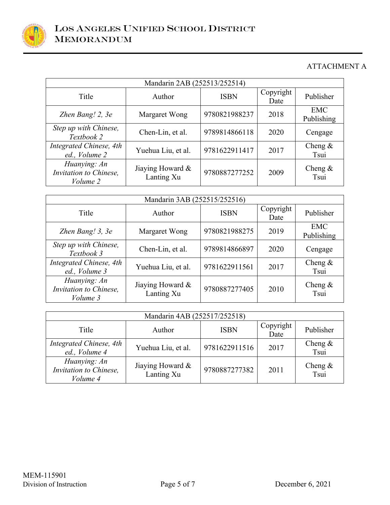

| Mandarin 2AB (252513/252514)                       |                                |               |                   |                          |
|----------------------------------------------------|--------------------------------|---------------|-------------------|--------------------------|
| Title                                              | Author                         | <b>ISBN</b>   | Copyright<br>Date | Publisher                |
| Zhen Bang! 2, 3e                                   | Margaret Wong                  | 9780821988237 | 2018              | <b>EMC</b><br>Publishing |
| Step up with Chinese,<br>Textbook 2                | Chen-Lin, et al.               | 9789814866118 | 2020              | Cengage                  |
| Integrated Chinese, 4th<br>ed., Volume 2           | Yuehua Liu, et al.             | 9781622911417 | 2017              | Cheng $\&$<br>Tsui       |
| Huanying: An<br>Invitation to Chinese,<br>Volume 2 | Jiaying Howard &<br>Lanting Xu | 9780887277252 | 2009              | Cheng $\&$<br>Tsui       |

| Mandarin 3AB (252515/252516)                       |                                |               |                   |                          |
|----------------------------------------------------|--------------------------------|---------------|-------------------|--------------------------|
| Title                                              | Author                         | <b>ISBN</b>   | Copyright<br>Date | Publisher                |
| Zhen Bang! 3, 3e                                   | Margaret Wong                  | 9780821988275 | 2019              | <b>EMC</b><br>Publishing |
| Step up with Chinese,<br>Textbook 3                | Chen-Lin, et al.               | 9789814866897 | 2020              | Cengage                  |
| Integrated Chinese, 4th<br>ed., Volume 3           | Yuehua Liu, et al.             | 9781622911561 | 2017              | Cheng $\&$<br>Tsui       |
| Huanying: An<br>Invitation to Chinese,<br>Volume 3 | Jiaying Howard &<br>Lanting Xu | 9780887277405 | 2010              | Cheng $\&$<br>Tsui       |

| Mandarin 4AB (252517/252518)                       |                                |               |                   |                    |
|----------------------------------------------------|--------------------------------|---------------|-------------------|--------------------|
| Title                                              | Author                         | <b>ISBN</b>   | Copyright<br>Date | Publisher          |
| Integrated Chinese, 4th<br>ed., Volume 4           | Yuehua Liu, et al.             | 9781622911516 | 2017              | Cheng $\&$<br>Tsui |
| Huanying: An<br>Invitation to Chinese,<br>Volume 4 | Jiaying Howard &<br>Lanting Xu | 9780887277382 | 2011              | Cheng $\&$<br>Tsui |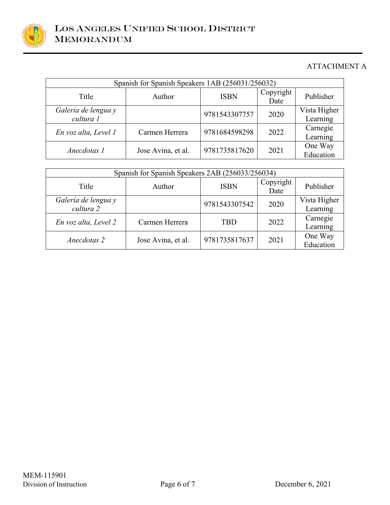

| Spanish for Spanish Speakers 1AB (256031/256032) |                    |               |                   |                          |  |
|--------------------------------------------------|--------------------|---------------|-------------------|--------------------------|--|
| Title                                            | Author             | <b>ISBN</b>   | Copyright<br>Date | Publisher                |  |
| Galeria de lengua y<br>cultura 1                 |                    | 9781543307757 | 2020              | Vista Higher<br>Learning |  |
| En voz alta, Level 1                             | Carmen Herrera     | 9781684598298 | 2022              | Carnegie<br>Learning     |  |
| Anecdotas 1                                      | Jose Avina, et al. | 9781735817620 | 2021              | One Way<br>Education     |  |

| Spanish for Spanish Speakers 2AB (256033/256034) |                    |               |                   |                          |  |
|--------------------------------------------------|--------------------|---------------|-------------------|--------------------------|--|
| Title                                            | Author             | <b>ISBN</b>   | Copyright<br>Date | Publisher                |  |
| Galeria de lengua y<br>cultura 2                 |                    | 9781543307542 | 2020              | Vista Higher<br>Learning |  |
| En voz alta, Level 2                             | Carmen Herrera     | <b>TBD</b>    | 2022              | Carnegie<br>Learning     |  |
| Anecdotas 2                                      | Jose Avina, et al. | 9781735817637 | 2021              | One Way<br>Education     |  |